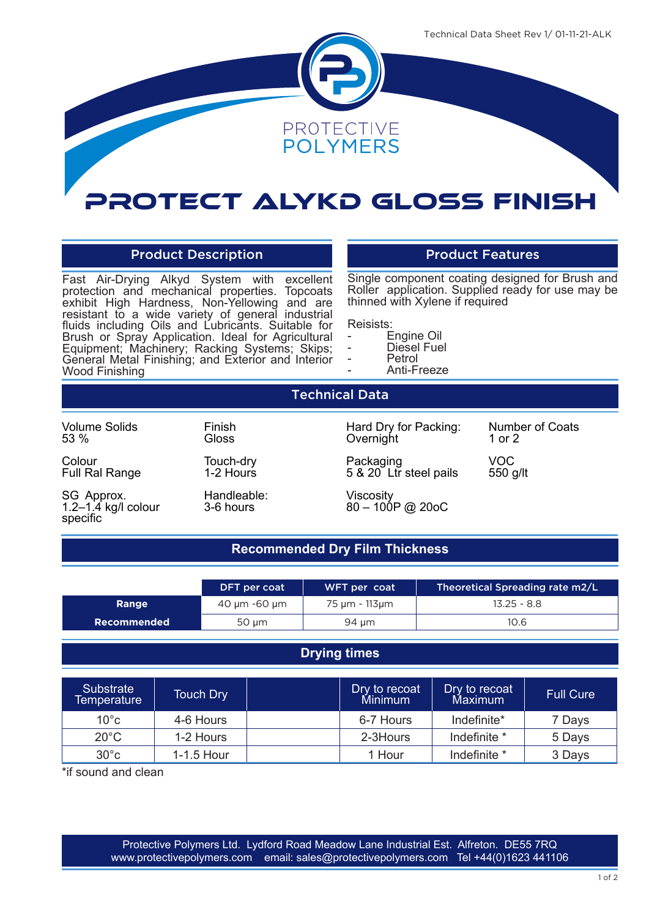

# Protect Alykd Gloss Finish

### Product Description **Product Features**

Fast Air-Drying Alkyd System with excellent protection and mechanical properties. Topcoats exhibit High Hardness, Non-Yellowing and are resistant to a wide variety of general industrial fluids including Oils and Lubricants. Suitable for Brush or Spray Application. Ideal for Agricultural Equipment; Machinery; Racking Systems; Skips; General Metal Finishing; and Exterior and Interior Wood Finishing

Single component coating designed for Brush and Roller application. Supplied ready for use may be thinned with Xylene if required

- Reisists:<br>- Engine Oil
- 
- Diesel Fuel<br>- Petrol<br>- Anti-Freeze
	-

Technical Data White

Volume Solids 53 %

Colour Full Ral Range

SG Approx. 1.2–1.4 kg/l colour specific

**Gloss** Touch-dry 1-2 Hours

Finish

Handleable: 3-6 hours

Hard Dry for Packing: Overnight

Packaging 5 & 20 Ltr steel pails

Viscosity 80 – 100P @ 20oC Number of Coats 1 or 2

VOC 550 g/lt

## **Recommended Dry Film Thickness**

|             | DFT per coat | Theoretical Spreading rate m2/L<br>WFT per coat |               |
|-------------|--------------|-------------------------------------------------|---------------|
| Range       | 40 µm -60 µm | 75 µm - 113µm                                   | $13.25 - 8.8$ |
| Recommended | $50 \mu m$   | 94 µm                                           | 10.6          |

### **Drying times**

| Substrate<br>Temperature | <b>Touch Dry</b> | Dry to recoat<br>Minimum | Dry to recoat<br>Maximum | <b>Full Cure</b> |
|--------------------------|------------------|--------------------------|--------------------------|------------------|
| $10^{\circ}$ c           | 4-6 Hours        | 6-7 Hours                | Indefinite*              | 7 Days           |
| $20^{\circ}$ C           | 1-2 Hours        | 2-3Hours                 | Indefinite *             | 5 Days           |
| $30^{\circ}$ c           | $1-1.5$ Hour     | 1 Hour                   | Indefinite *             | 3 Days           |

\*if sound and clean